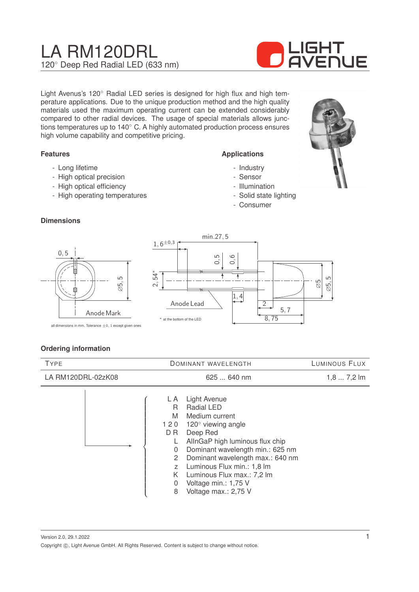# LA RM120DRL 120◦ Deep Red Radial LED (633 nm)



Light Avenus's 120◦ Radial LED series is designed for high flux and high temperature applications. Due to the unique production method and the high quality materials used the maximum operating current can be extended considerably compared to other radial devices. The usage of special materials allows junctions temperatures up to 140◦ C. A highly automated production process ensures high volume capability and competitive pricing.

#### **Features**

**Dimensions**

- Long lifetime
- High optical precision
- High optical efficiency
- High operating temperatures

#### **Applications**

- Industry
- Sensor
- Illumination
- Solid state lighting
- Consumer





all dimensions in mm. Tolerance  $\pm$ 0, 1 except given ones

|  | <b>Ordering information</b> |
|--|-----------------------------|
|--|-----------------------------|

| <b>TYPE</b>        | DOMINANT WAVELENGTH                                                                                                                                                                                                                                                                                                                                                                                      | LUMINOUS FLUX |
|--------------------|----------------------------------------------------------------------------------------------------------------------------------------------------------------------------------------------------------------------------------------------------------------------------------------------------------------------------------------------------------------------------------------------------------|---------------|
| LA RM120DRL-02zK08 | 625  640 nm                                                                                                                                                                                                                                                                                                                                                                                              | $1,87,2$ lm   |
|                    | <b>Light Avenue</b><br>L A<br>Radial LED<br>R<br>M<br>Medium current<br>120 $^{\circ}$ viewing angle<br>120<br>D R<br>Deep Red<br>AllnGaP high luminous flux chip<br>Dominant wavelength min.: 625 nm<br>0<br>Dominant wavelength max.: 640 nm<br>$\mathbf{2}^{\prime}$<br>Luminous Flux min.: 1,8 lm<br>Z<br>K.<br>Luminous Flux max.: 7,2 lm<br>Voltage min.: 1,75 V<br>0<br>Voltage max.: 2,75 V<br>8 |               |

Version 2.0, 29.1.2022 Copyright  $\circled{c}$ , Light Avenue GmbH. All Rights Reserved. Content is subject to change without notice.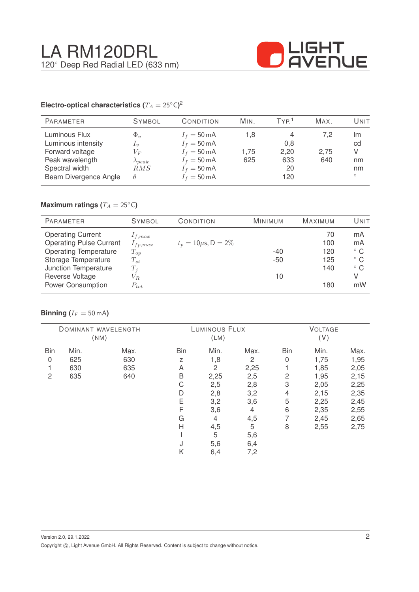

#### **Electro-optical characteristics (T\_A = 25^{\circ} \text{C}</math>)<sup>2</sup>**

| <b>PARAMETER</b>                                                                            | <b>SYMBOL</b>                                                                                                                                                                                                                                                                                                                                                                                                                                                                                       | CONDITION                                                                                                                 | MIN.               | TYP <sup>1</sup>              | MAX.               | Unit                      |
|---------------------------------------------------------------------------------------------|-----------------------------------------------------------------------------------------------------------------------------------------------------------------------------------------------------------------------------------------------------------------------------------------------------------------------------------------------------------------------------------------------------------------------------------------------------------------------------------------------------|---------------------------------------------------------------------------------------------------------------------------|--------------------|-------------------------------|--------------------|---------------------------|
| Luminous Flux<br>Luminous intensity<br>Forward voltage<br>Peak wavelength<br>Spectral width | $\Phi_v$<br>$\mathcal{L}_v$<br>$V_{F}% ^{p^{\prime }},\qquad V_{F}^{p^{\prime }},\qquad V_{F}^{p^{\prime }},\qquad V_{F}^{p^{\prime }},\qquad V_{F}^{p^{\prime }},\qquad V_{F}^{p^{\prime }},\qquad V_{F}^{p^{\prime }},\qquad V_{F}^{p^{\prime }},\qquad V_{F}^{p^{\prime }},\qquad V_{F}^{p^{\prime }},\qquad V_{F}^{p^{\prime }},\qquad V_{F}^{p^{\prime }},\qquad V_{F}^{p^{\prime }},\qquad V_{F}^{p^{\prime }},\qquad V_{F}^{p^{\prime }},\qquad V_{F}^{p^{\prime$<br>$\lambda_{peak}$<br>RMS | $I_f = 50 \text{ mA}$<br>$I_f = 50 \text{ mA}$<br>$I_f = 50 \text{ mA}$<br>$I_f = 50 \text{ mA}$<br>$I_f = 50 \text{ mA}$ | 1.8<br>1.75<br>625 | 4<br>0,8<br>2,20<br>633<br>20 | 7.2<br>2,75<br>640 | Im<br>cd<br>V<br>nm<br>nm |
| Beam Divergence Angle                                                                       | $\theta$                                                                                                                                                                                                                                                                                                                                                                                                                                                                                            | $I_f = 50 \text{ mA}$                                                                                                     |                    | 120                           |                    | $\circ$                   |

## **Maximum ratings (** $T_A = 25$ °C)

| <b>PARAMETER</b>               | <b>SYMBOL</b> | CONDITION                 | <b>MINIMUM</b> | <b>MAXIMUM</b> | UNIT         |
|--------------------------------|---------------|---------------------------|----------------|----------------|--------------|
| <b>Operating Current</b>       | $1_{f,max}$   |                           |                | 70             | mA           |
| <b>Operating Pulse Current</b> | $I_{fp,max}$  | $t_p = 10 \mu s, D = 2\%$ |                | 100            | mA           |
| <b>Operating Temperature</b>   | $T_{op}$      |                           | $-40$          | 120            | $^{\circ}$ C |
| Storage Temperature            | $T_{st}$      |                           | $-50$          | 125            | $^{\circ}$ C |
| Junction Temperature           | $T_i$         |                           |                | 140            | $^{\circ}$ C |
| Reverse Voltage                | $V_{R.}$      |                           | 10             |                | V            |
| <b>Power Consumption</b>       | $P_{tot}$     |                           |                | 180            | mW           |

### **Binning** ( $I_F = 50$  mA)

|            |      | DOMINANT WAVELENGTH<br>(NM) |     | LUMINOUS FLUX<br>(LM) |      |            | <b>VOLTAGE</b><br>(V) |      |
|------------|------|-----------------------------|-----|-----------------------|------|------------|-----------------------|------|
| <b>Bin</b> | Min. | Max.                        | Bin | Min.                  | Max. | <b>Bin</b> | Min.                  | Max. |
| 0          | 625  | 630                         | Z   | 1,8                   | 2    | 0          | 1,75                  | 1,95 |
|            | 630  | 635                         | A   | 2                     | 2,25 |            | 1,85                  | 2,05 |
| 2          | 635  | 640                         | B   | 2,25                  | 2,5  | 2          | 1,95                  | 2,15 |
|            |      |                             | С   | 2,5                   | 2,8  | 3          | 2,05                  | 2,25 |
|            |      |                             | D   | 2,8                   | 3,2  | 4          | 2,15                  | 2,35 |
|            |      |                             | Ε   | 3,2                   | 3,6  | 5          | 2,25                  | 2,45 |
|            |      |                             | F   | 3,6                   | 4    | 6          | 2,35                  | 2,55 |
|            |      |                             | G   | 4                     | 4,5  | 7          | 2,45                  | 2,65 |
|            |      |                             | H   | 4,5                   | 5    | 8          | 2,55                  | 2,75 |
|            |      |                             |     | 5                     | 5,6  |            |                       |      |
|            |      |                             | J   | 5,6                   | 6,4  |            |                       |      |
|            |      |                             | Κ   | 6,4                   | 7,2  |            |                       |      |
|            |      |                             |     |                       |      |            |                       |      |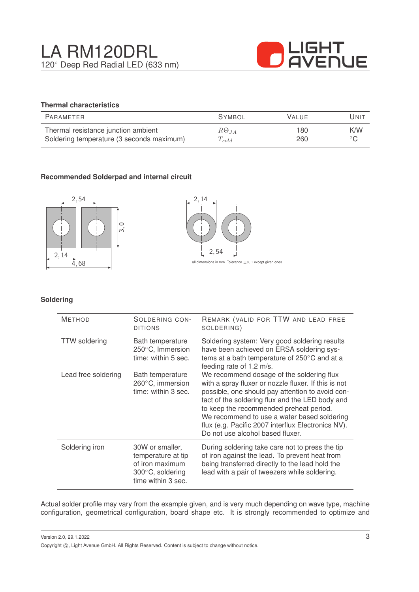

## **Thermal characteristics**

| PARAMETER                                 | <b>SYMBOL</b>        | <b>VALUE</b> | Unit           |
|-------------------------------------------|----------------------|--------------|----------------|
| Thermal resistance junction ambient       | $R\Theta_{JA}$       | 180          | K/W            |
| Soldering temperature (3 seconds maximum) | $\mathcal{L}_{gold}$ | 260          | $\circ$ $\cap$ |

### **Recommended Solderpad and internal circuit**





#### **Soldering**

| <b>METHOD</b>        | SOLDERING CON-<br><b>DITIONS</b>                                                                   | REMARK (VALID FOR TTW AND LEAD FREE<br>SOLDERING)                                                                                                                                                                                                                                                                                                                                            |
|----------------------|----------------------------------------------------------------------------------------------------|----------------------------------------------------------------------------------------------------------------------------------------------------------------------------------------------------------------------------------------------------------------------------------------------------------------------------------------------------------------------------------------------|
| <b>TTW</b> soldering | Bath temperature<br>250°C, Immersion<br>time: within 5 sec.                                        | Soldering system: Very good soldering results<br>have been achieved on ERSA soldering sys-<br>tems at a bath temperature of 250°C and at a<br>feeding rate of 1.2 m/s.                                                                                                                                                                                                                       |
| Lead free soldering  | Bath temperature<br>260°C, immersion<br>time: within 3 sec.                                        | We recommend dosage of the soldering flux<br>with a spray fluxer or nozzle fluxer. If this is not<br>possible, one should pay attention to avoid con-<br>tact of the soldering flux and the LED body and<br>to keep the recommended preheat period.<br>We recommend to use a water based soldering<br>flux (e.g. Pacific 2007 interflux Electronics NV).<br>Do not use alcohol based fluxer. |
| Soldering iron       | 30W or smaller,<br>temperature at tip<br>of iron maximum<br>300°C, soldering<br>time within 3 sec. | During soldering take care not to press the tip<br>of iron against the lead. To prevent heat from<br>being transferred directly to the lead hold the<br>lead with a pair of tweezers while soldering.                                                                                                                                                                                        |

Actual solder profile may vary from the example given, and is very much depending on wave type, machine configuration, geometrical configuration, board shape etc. It is strongly recommended to optimize and

Version 2.0, 29.1.2022 Copyright  $\circled{c}$ , Light Avenue GmbH. All Rights Reserved. Content is subject to change without notice.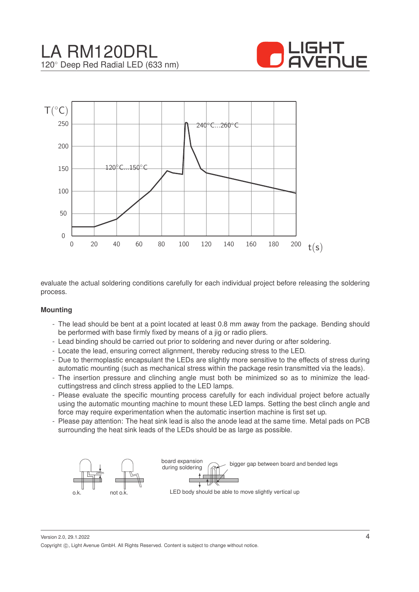



evaluate the actual soldering conditions carefully for each individual project before releasing the soldering process.

#### **Mounting**

- The lead should be bent at a point located at least 0.8 mm away from the package. Bending should be performed with base firmly fixed by means of a jig or radio pliers.
- Lead binding should be carried out prior to soldering and never during or after soldering.
- Locate the lead, ensuring correct alignment, thereby reducing stress to the LED.
- Due to thermoplastic encapsulant the LEDs are slightly more sensitive to the effects of stress during automatic mounting (such as mechanical stress within the package resin transmitted via the leads).
- The insertion pressure and clinching angle must both be minimized so as to minimize the leadcuttingstress and clinch stress applied to the LED lamps.
- Please evaluate the specific mounting process carefully for each individual project before actually using the automatic mounting machine to mount these LED lamps. Setting the best clinch angle and force may require experimentation when the automatic insertion machine is first set up.
- Please pay attention: The heat sink lead is also the anode lead at the same time. Metal pads on PCB surrounding the heat sink leads of the LEDs should be as large as possible.



Version 2.0, 29.1.2022 Copyright ©, Light Avenue GmbH. All Rights Reserved. Content is subject to change without notice.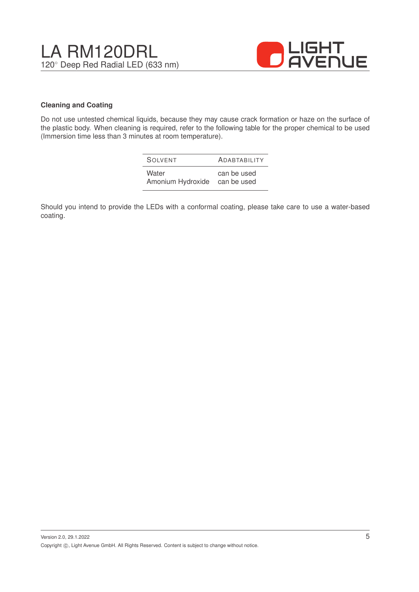

#### **Cleaning and Coating**

Do not use untested chemical liquids, because they may cause crack formation or haze on the surface of the plastic body. When cleaning is required, refer to the following table for the proper chemical to be used (Immersion time less than 3 minutes at room temperature).

| SOIVENT           | <b>ADABTABILITY</b> |
|-------------------|---------------------|
| Water             | can be used         |
| Amonium Hydroxide | can be used         |

Should you intend to provide the LEDs with a conformal coating, please take care to use a water-based coating.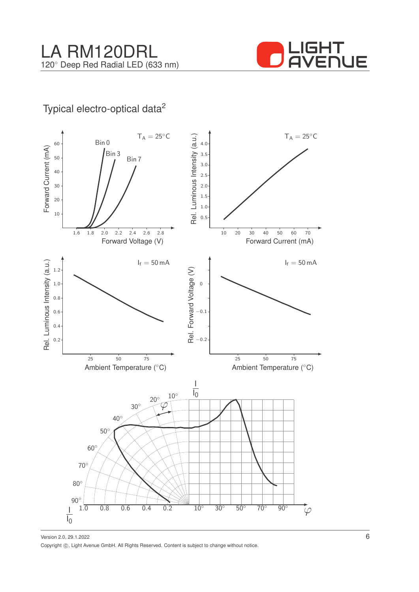

# Typical electro-optical data<sup>2</sup>



Version 2.0, 29.1.2022 Copyright ©, Light Avenue GmbH. All Rights Reserved. Content is subject to change without notice.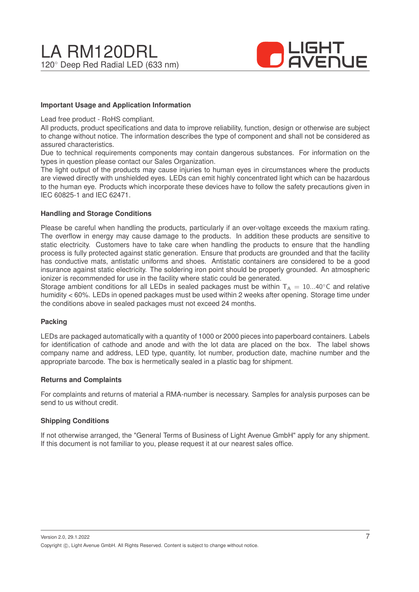

#### **Important Usage and Application Information**

Lead free product - RoHS compliant.

All products, product specifications and data to improve reliability, function, design or otherwise are subject to change without notice. The information describes the type of component and shall not be considered as assured characteristics.

Due to technical requirements components may contain dangerous substances. For information on the types in question please contact our Sales Organization.

The light output of the products may cause injuries to human eyes in circumstances where the products are viewed directly with unshielded eyes. LEDs can emit highly concentrated light which can be hazardous to the human eye. Products which incorporate these devices have to follow the safety precautions given in IEC 60825-1 and IEC 62471.

#### **Handling and Storage Conditions**

Please be careful when handling the products, particularly if an over-voltage exceeds the maxium rating. The overflow in energy may cause damage to the products. In addition these products are sensitive to static electricity. Customers have to take care when handling the products to ensure that the handling process is fully protected against static generation. Ensure that products are grounded and that the facility has conductive mats, antistatic uniforms and shoes. Antistatic containers are considered to be a good insurance against static electricity. The soldering iron point should be properly grounded. An atmospheric ionizer is recommended for use in the facility where static could be generated.

Storage ambient conditions for all LEDs in sealed packages must be within  $T_A = 10...40^\circ$ C and relative humidity < 60%. LEDs in opened packages must be used within 2 weeks after opening. Storage time under the conditions above in sealed packages must not exceed 24 months.

#### **Packing**

LEDs are packaged automatically with a quantity of 1000 or 2000 pieces into paperboard containers. Labels for identification of cathode and anode and with the lot data are placed on the box. The label shows company name and address, LED type, quantity, lot number, production date, machine number and the appropriate barcode. The box is hermetically sealed in a plastic bag for shipment.

#### **Returns and Complaints**

For complaints and returns of material a RMA-number is necessary. Samples for analysis purposes can be send to us without credit.

#### **Shipping Conditions**

If not otherwise arranged, the "General Terms of Business of Light Avenue GmbH" apply for any shipment. If this document is not familiar to you, please request it at our nearest sales office.